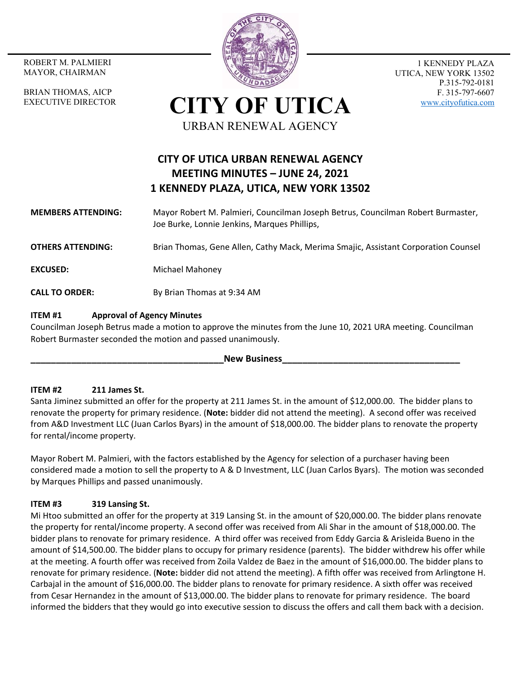MAYOR, CHAIRMAN

BRIAN THOMAS, AICP EXECUTIVE DIRECTOR



1 KENNEDY PLAZA UTICA, NEW YORK 13502 P.315-792-0181 F. 315-797-6607 www.cityofutica.com

**CITY OF UTICA** URBAN RENEWAL AGENCY

# **CITY OF UTICA URBAN RENEWAL AGENCY MEETING MINUTES – JUNE 24, 2021 1 KENNEDY PLAZA, UTICA, NEW YORK 13502**

# **MEMBERS ATTENDING:**  Mayor Robert M. Palmieri, Councilman Joseph Betrus, Councilman Robert Burmaster, Joe Burke, Lonnie Jenkins, Marques Phillips,

**OTHERS ATTENDING:** Brian Thomas, Gene Allen, Cathy Mack, Merima Smajic, Assistant Corporation Counsel

**EXCUSED:** Michael Mahoney

**CALL TO ORDER:** By Brian Thomas at 9:34 AM

# **ITEM #1 Approval of Agency Minutes**

Councilman Joseph Betrus made a motion to approve the minutes from the June 10, 2021 URA meeting. Councilman Robert Burmaster seconded the motion and passed unanimously.

#### **New Business**

# **ITEM #2 211 James St.**

Santa Jiminez submitted an offer for the property at 211 James St. in the amount of \$12,000.00. The bidder plans to renovate the property for primary residence. (**Note:** bidder did not attend the meeting). A second offer was received from A&D Investment LLC (Juan Carlos Byars) in the amount of \$18,000.00. The bidder plans to renovate the property for rental/income property.

Mayor Robert M. Palmieri, with the factors established by the Agency for selection of a purchaser having been considered made a motion to sell the property to A & D Investment, LLC (Juan Carlos Byars). The motion was seconded by Marques Phillips and passed unanimously.

### **ITEM #3 319 Lansing St.**

Mi Htoo submitted an offer for the property at 319 Lansing St. in the amount of \$20,000.00. The bidder plans renovate the property for rental/income property. A second offer was received from Ali Shar in the amount of \$18,000.00. The bidder plans to renovate for primary residence. A third offer was received from Eddy Garcia & Arisleida Bueno in the amount of \$14,500.00. The bidder plans to occupy for primary residence (parents). The bidder withdrew his offer while at the meeting. A fourth offer was received from Zoila Valdez de Baez in the amount of \$16,000.00. The bidder plans to renovate for primary residence. (**Note:** bidder did not attend the meeting). A fifth offer was received from Arlingtone H. Carbajal in the amount of \$16,000.00. The bidder plans to renovate for primary residence. A sixth offer was received from Cesar Hernandez in the amount of \$13,000.00. The bidder plans to renovate for primary residence. The board informed the bidders that they would go into executive session to discuss the offers and call them back with a decision.